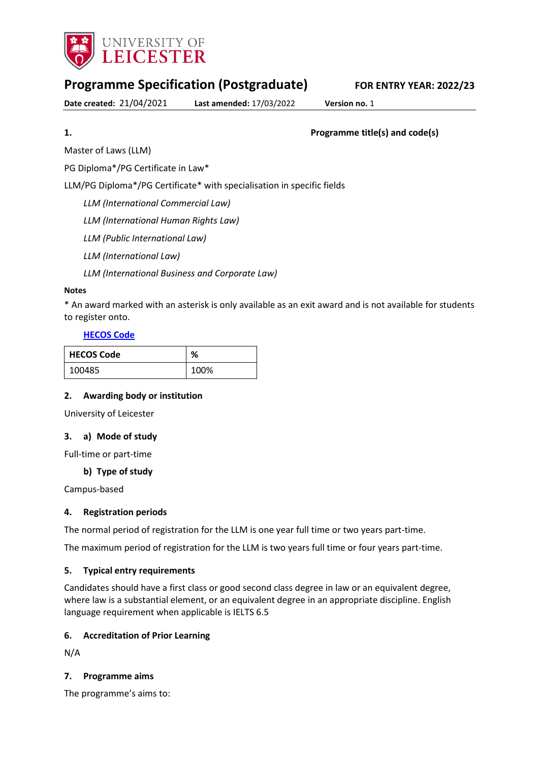

# **Programme Specification (Postgraduate) FOR ENTRY YEAR: 2022/23**

**Date created:** 21/04/2021 **Last amended:** 17/03/2022 **Version no.** 1

<span id="page-0-0"></span>**1. Programme title(s) and code(s)**

Master of Laws (LLM)

PG Diploma\*/PG Certificate in Law\*

LLM/PG Diploma\*/PG Certificate\* with specialisation in specific fields

*LLM (International Commercial Law)*

*LLM (International Human Rights Law)*

*LLM (Public International Law)*

*LLM (International Law)*

*LLM (International Business and Corporate Law)*

### **Notes**

\* An award marked with an asterisk is only available as an exit award and is not available for students to register onto.

# **[HECOS Code](https://www.hesa.ac.uk/innovation/hecos)**

| <b>HECOS Code</b> | ℅    |
|-------------------|------|
| 100485            | 100% |

### **2. Awarding body or institution**

University of Leicester

### **3. a) Mode of study**

Full-time or part-time

**b) Type of study**

Campus-based

### **4. Registration periods**

The normal period of registration for the LLM is one year full time or two years part-time.

The maximum period of registration for the LLM is two years full time or four years part-time.

### **5. Typical entry requirements**

Candidates should have a first class or good second class degree in law or an equivalent degree, where law is a substantial element, or an equivalent degree in an appropriate discipline. English language requirement when applicable is IELTS 6.5

### **6. Accreditation of Prior Learning**

N/A

### **7. Programme aims**

The programme's aims to: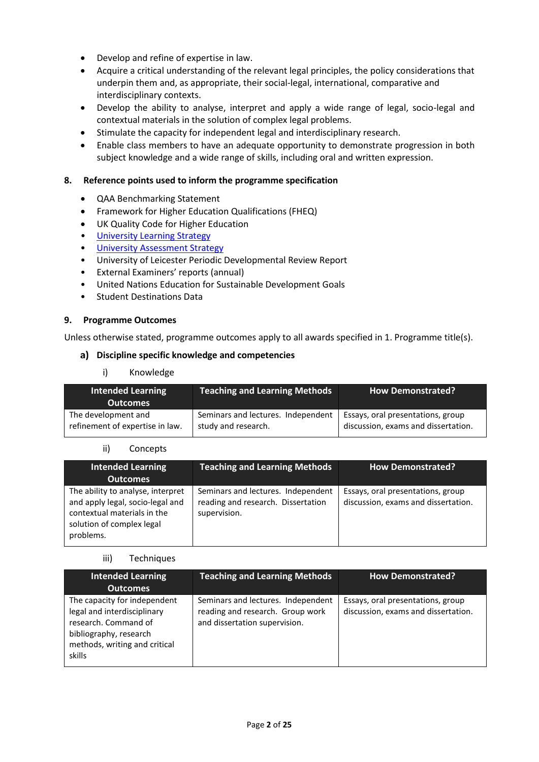- Develop and refine of expertise in law.
- Acquire a critical understanding of the relevant legal principles, the policy considerations that underpin them and, as appropriate, their social-legal, international, comparative and interdisciplinary contexts.
- Develop the ability to analyse, interpret and apply a wide range of legal, socio-legal and contextual materials in the solution of complex legal problems.
- Stimulate the capacity for independent legal and interdisciplinary research.
- Enable class members to have an adequate opportunity to demonstrate progression in both subject knowledge and a wide range of skills, including oral and written expression.

#### **8. Reference points used to inform the programme specification**

- QAA Benchmarking Statement
- Framework for Higher Education Qualifications (FHEQ)
- UK Quality Code for Higher Education
- [University Learning](https://www2.le.ac.uk/offices/sas2/quality/learnteach) Strategy
- [University Assessment Strategy](https://www2.le.ac.uk/offices/sas2/quality/learnteach)
- University of Leicester Periodic Developmental Review Report
- External Examiners' reports (annual)
- United Nations Education for Sustainable Development Goals
- Student Destinations Data

#### **9. Programme Outcomes**

Unless otherwise stated, programme outcomes apply to all awards specified in [1.](#page-0-0) Programme title(s).

#### **Discipline specific knowledge and competencies**

i) Knowledge

| Intended Learning<br><b>Outcomes</b> | <b>Teaching and Learning Methods</b> | <b>How Demonstrated?</b>            |
|--------------------------------------|--------------------------------------|-------------------------------------|
| The development and                  | Seminars and lectures. Independent   | Essays, oral presentations, group   |
| refinement of expertise in law.      | study and research.                  | discussion, exams and dissertation. |

#### ii) Concepts

| <b>Intended Learning</b><br><b>Outcomes</b>                                                                                                    | <b>Teaching and Learning Methods</b>                                                     | <b>How Demonstrated?</b>                                                 |
|------------------------------------------------------------------------------------------------------------------------------------------------|------------------------------------------------------------------------------------------|--------------------------------------------------------------------------|
| The ability to analyse, interpret<br>and apply legal, socio-legal and<br>contextual materials in the<br>solution of complex legal<br>problems. | Seminars and lectures. Independent<br>reading and research. Dissertation<br>supervision. | Essays, oral presentations, group<br>discussion, exams and dissertation. |

#### iii) Techniques

| <b>Intended Learning</b><br><b>Outcomes</b>                                                                                                              | <b>Teaching and Learning Methods</b>                                                                    | <b>How Demonstrated?</b>                                                 |
|----------------------------------------------------------------------------------------------------------------------------------------------------------|---------------------------------------------------------------------------------------------------------|--------------------------------------------------------------------------|
| The capacity for independent<br>legal and interdisciplinary<br>research. Command of<br>bibliography, research<br>methods, writing and critical<br>skills | Seminars and lectures. Independent<br>reading and research. Group work<br>and dissertation supervision. | Essays, oral presentations, group<br>discussion, exams and dissertation. |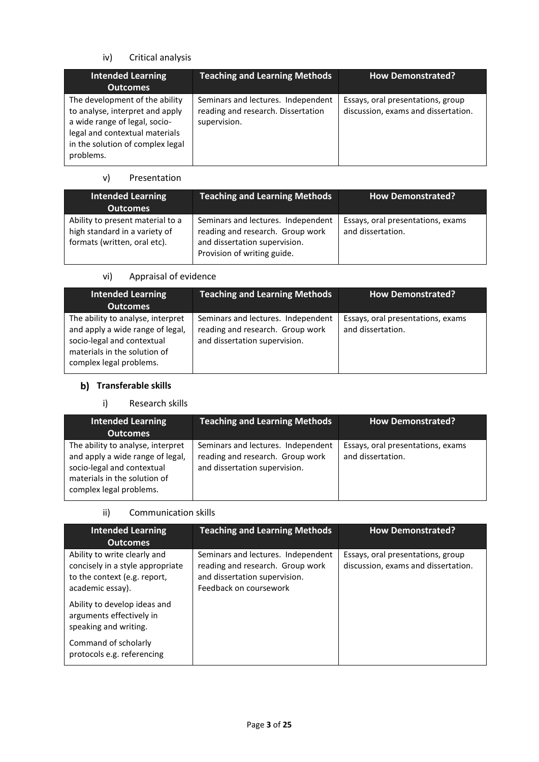# iv) Critical analysis

| Intended Learning<br><b>Outcomes</b>                                                                                                                                                  | <b>Teaching and Learning Methods</b>                                                     | <b>How Demonstrated?</b>                                                 |
|---------------------------------------------------------------------------------------------------------------------------------------------------------------------------------------|------------------------------------------------------------------------------------------|--------------------------------------------------------------------------|
| The development of the ability<br>to analyse, interpret and apply<br>a wide range of legal, socio-<br>legal and contextual materials<br>in the solution of complex legal<br>problems. | Seminars and lectures. Independent<br>reading and research. Dissertation<br>supervision. | Essays, oral presentations, group<br>discussion, exams and dissertation. |

### v) Presentation

| <b>Intended Learning</b><br><b>Outcomes</b>                                                       | <b>Teaching and Learning Methods</b>                                                                                                   | <b>How Demonstrated?</b>                               |
|---------------------------------------------------------------------------------------------------|----------------------------------------------------------------------------------------------------------------------------------------|--------------------------------------------------------|
| Ability to present material to a<br>high standard in a variety of<br>formats (written, oral etc). | Seminars and lectures. Independent<br>reading and research. Group work<br>and dissertation supervision.<br>Provision of writing guide. | Essays, oral presentations, exams<br>and dissertation. |

# vi) Appraisal of evidence

| <b>Intended Learning</b><br><b>Outcomes</b>                                                                                                                    | <b>Teaching and Learning Methods</b>                                                                    | <b>How Demonstrated?</b>                               |
|----------------------------------------------------------------------------------------------------------------------------------------------------------------|---------------------------------------------------------------------------------------------------------|--------------------------------------------------------|
| The ability to analyse, interpret<br>and apply a wide range of legal,<br>socio-legal and contextual<br>materials in the solution of<br>complex legal problems. | Seminars and lectures. Independent<br>reading and research. Group work<br>and dissertation supervision. | Essays, oral presentations, exams<br>and dissertation. |

# **b)** Transferable skills

# i) Research skills

| <b>Intended Learning</b><br><b>Outcomes</b>                                                                                                                    | <b>Teaching and Learning Methods</b>                                                                    | <b>How Demonstrated?</b>                               |
|----------------------------------------------------------------------------------------------------------------------------------------------------------------|---------------------------------------------------------------------------------------------------------|--------------------------------------------------------|
| The ability to analyse, interpret<br>and apply a wide range of legal,<br>socio-legal and contextual<br>materials in the solution of<br>complex legal problems. | Seminars and lectures. Independent<br>reading and research. Group work<br>and dissertation supervision. | Essays, oral presentations, exams<br>and dissertation. |

### ii) Communication skills

| <b>Intended Learning</b><br><b>Outcomes</b>                                                                          | <b>Teaching and Learning Methods</b>                                                                                              | <b>How Demonstrated?</b>                                                 |
|----------------------------------------------------------------------------------------------------------------------|-----------------------------------------------------------------------------------------------------------------------------------|--------------------------------------------------------------------------|
| Ability to write clearly and<br>concisely in a style appropriate<br>to the context (e.g. report,<br>academic essay). | Seminars and lectures. Independent<br>reading and research. Group work<br>and dissertation supervision.<br>Feedback on coursework | Essays, oral presentations, group<br>discussion, exams and dissertation. |
| Ability to develop ideas and<br>arguments effectively in<br>speaking and writing.                                    |                                                                                                                                   |                                                                          |
| Command of scholarly<br>protocols e.g. referencing                                                                   |                                                                                                                                   |                                                                          |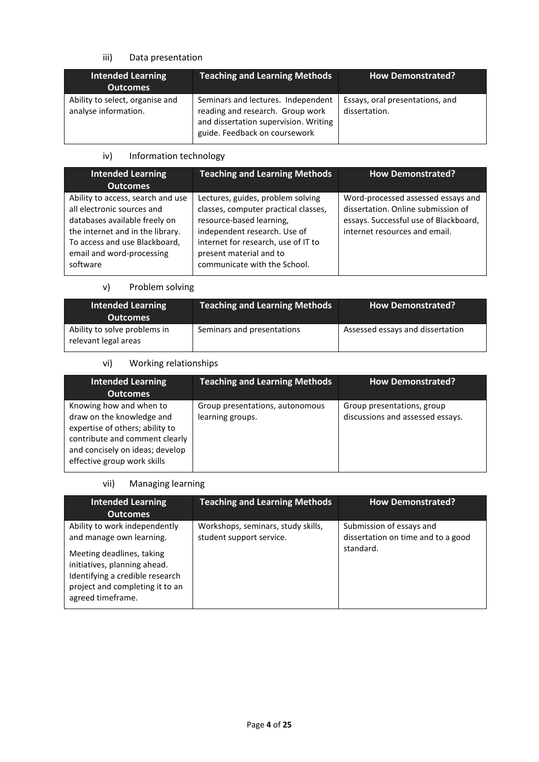# iii) Data presentation

| <b>Intended Learning</b><br><b>Outcomes</b>             | <b>Teaching and Learning Methods</b>                                                                                                             | <b>How Demonstrated?</b>                         |
|---------------------------------------------------------|--------------------------------------------------------------------------------------------------------------------------------------------------|--------------------------------------------------|
| Ability to select, organise and<br>analyse information. | Seminars and lectures. Independent<br>reading and research. Group work<br>and dissertation supervision. Writing<br>guide. Feedback on coursework | Essays, oral presentations, and<br>dissertation. |

# iv) Information technology

| <b>Intended Learning</b>                                                                                                                                                                                       | <b>Teaching and Learning Methods</b>                                                                                                                                                                                                    | <b>How Demonstrated?</b>                                                                                                                           |
|----------------------------------------------------------------------------------------------------------------------------------------------------------------------------------------------------------------|-----------------------------------------------------------------------------------------------------------------------------------------------------------------------------------------------------------------------------------------|----------------------------------------------------------------------------------------------------------------------------------------------------|
| <b>Outcomes</b>                                                                                                                                                                                                |                                                                                                                                                                                                                                         |                                                                                                                                                    |
| Ability to access, search and use<br>all electronic sources and<br>databases available freely on<br>the internet and in the library.<br>To access and use Blackboard,<br>email and word-processing<br>software | Lectures, guides, problem solving<br>classes, computer practical classes,<br>resource-based learning,<br>independent research. Use of<br>internet for research, use of IT to<br>present material and to<br>communicate with the School. | Word-processed assessed essays and<br>dissertation. Online submission of<br>essays. Successful use of Blackboard,<br>internet resources and email. |

### v) Problem solving

| <b>Intended Learning</b><br><b>Outcomes</b>          | <b>Teaching and Learning Methods</b> | <b>How Demonstrated?</b>         |
|------------------------------------------------------|--------------------------------------|----------------------------------|
| Ability to solve problems in<br>relevant legal areas | Seminars and presentations           | Assessed essays and dissertation |

# vi) Working relationships

| <b>Intended Learning</b><br><b>Outcomes</b>                                                                                                                                                 | <b>Teaching and Learning Methods</b>                | <b>How Demonstrated?</b>                                       |
|---------------------------------------------------------------------------------------------------------------------------------------------------------------------------------------------|-----------------------------------------------------|----------------------------------------------------------------|
| Knowing how and when to<br>draw on the knowledge and<br>expertise of others; ability to<br>contribute and comment clearly<br>and concisely on ideas; develop<br>effective group work skills | Group presentations, autonomous<br>learning groups. | Group presentations, group<br>discussions and assessed essays. |

# vii) Managing learning

| <b>Intended Learning</b><br><b>Outcomes</b>                                                                                                                                                                       | <b>Teaching and Learning Methods</b>                           | <b>How Demonstrated?</b>                                                    |
|-------------------------------------------------------------------------------------------------------------------------------------------------------------------------------------------------------------------|----------------------------------------------------------------|-----------------------------------------------------------------------------|
| Ability to work independently<br>and manage own learning.<br>Meeting deadlines, taking<br>initiatives, planning ahead.<br>Identifying a credible research<br>project and completing it to an<br>agreed timeframe. | Workshops, seminars, study skills,<br>student support service. | Submission of essays and<br>dissertation on time and to a good<br>standard. |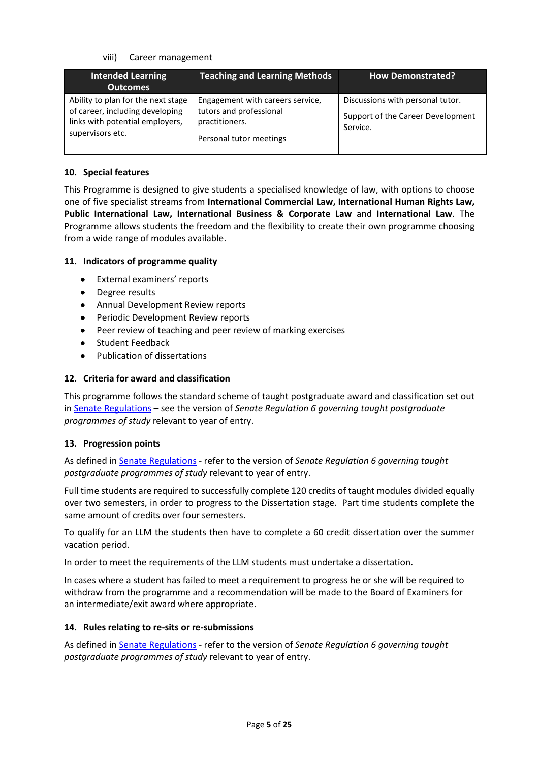#### viii) Career management

| <b>Intended Learning</b><br><b>Outcomes</b>                                                                                  | <b>Teaching and Learning Methods</b>                                                                     | <b>How Demonstrated?</b>                                                          |
|------------------------------------------------------------------------------------------------------------------------------|----------------------------------------------------------------------------------------------------------|-----------------------------------------------------------------------------------|
| Ability to plan for the next stage<br>of career, including developing<br>links with potential employers,<br>supervisors etc. | Engagement with careers service,<br>tutors and professional<br>practitioners.<br>Personal tutor meetings | Discussions with personal tutor.<br>Support of the Career Development<br>Service. |

### **10. Special features**

This Programme is designed to give students a specialised knowledge of law, with options to choose one of five specialist streams from **International Commercial Law, International Human Rights Law, Public International Law, International Business & Corporate Law** and **International Law**. The Programme allows students the freedom and the flexibility to create their own programme choosing from a wide range of modules available.

### **11. Indicators of programme quality**

- External examiners' reports
- Degree results
- Annual Development Review reports
- Periodic Development Review reports
- Peer review of teaching and peer review of marking exercises
- Student Feedback
- Publication of dissertations

### **12. Criteria for award and classification**

This programme follows the standard scheme of taught postgraduate award and classification set out i[n Senate Regulations](http://www.le.ac.uk/senate-regulations) – see the version of *Senate Regulation 6 governing taught postgraduate programmes of study* relevant to year of entry.

### **13. Progression points**

As defined i[n Senate Regulations](http://www.le.ac.uk/senate-regulation6) - refer to the version of *Senate Regulation 6 governing taught postgraduate programmes of study* relevant to year of entry.

Full time students are required to successfully complete 120 credits of taught modules divided equally over two semesters, in order to progress to the Dissertation stage. Part time students complete the same amount of credits over four semesters.

To qualify for an LLM the students then have to complete a 60 credit dissertation over the summer vacation period.

In order to meet the requirements of the LLM students must undertake a dissertation.

In cases where a student has failed to meet a requirement to progress he or she will be required to withdraw from the programme and a recommendation will be made to the Board of Examiners for an intermediate/exit award where appropriate.

#### **14. Rules relating to re-sits or re-submissions**

As defined i[n Senate Regulations](http://www.le.ac.uk/senate-regulation6) - refer to the version of *Senate Regulation 6 governing taught postgraduate programmes of study* relevant to year of entry.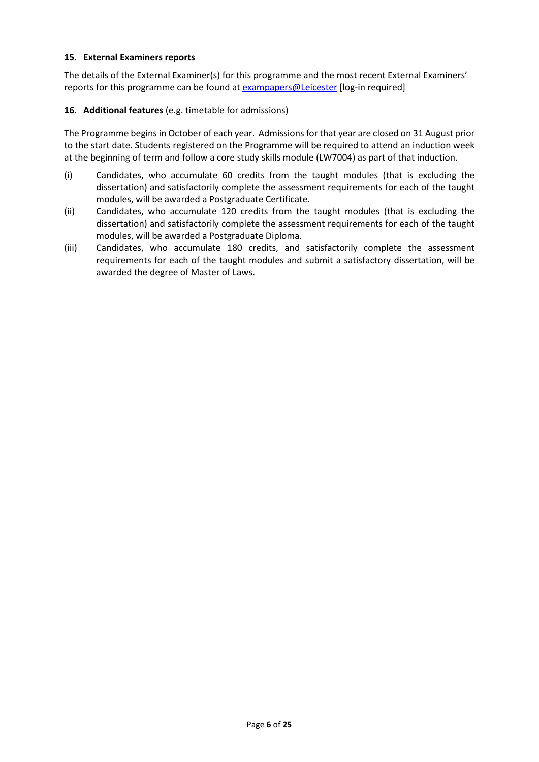#### **15. External Examiners reports**

The details of the External Examiner(s) for this programme and the most recent External Examiners' reports for this programme can be found at [exampapers@Leicester](https://exampapers.le.ac.uk/) [log-in required]

### **16. Additional features** (e.g. timetable for admissions)

The Programme begins in October of each year. Admissions for that year are closed on 31 August prior to the start date. Students registered on the Programme will be required to attend an induction week at the beginning of term and follow a core study skills module (LW7004) as part of that induction.

- (i) Candidates, who accumulate 60 credits from the taught modules (that is excluding the dissertation) and satisfactorily complete the assessment requirements for each of the taught modules, will be awarded a Postgraduate Certificate.
- (ii) Candidates, who accumulate 120 credits from the taught modules (that is excluding the dissertation) and satisfactorily complete the assessment requirements for each of the taught modules, will be awarded a Postgraduate Diploma.
- (iii) Candidates, who accumulate 180 credits, and satisfactorily complete the assessment requirements for each of the taught modules and submit a satisfactory dissertation, will be awarded the degree of Master of Laws.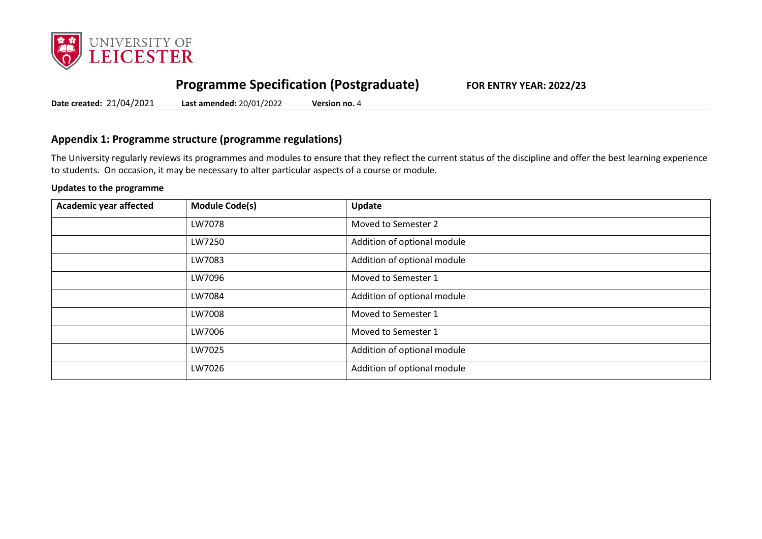

# **Programme Specification (Postgraduate) FOR ENTRY YEAR: 2022/23**

**Date created:** 21/04/2021 **Last amended:** 20/01/2022 **Version no.** 4

# **Appendix 1: Programme structure (programme regulations)**

The University regularly reviews its programmes and modules to ensure that they reflect the current status of the discipline and offer the best learning experience to students. On occasion, it may be necessary to alter particular aspects of a course or module.

#### **Updates to the programme**

| Academic year affected | <b>Module Code(s)</b> | Update                      |
|------------------------|-----------------------|-----------------------------|
|                        | LW7078                | Moved to Semester 2         |
|                        | LW7250                | Addition of optional module |
|                        | LW7083                | Addition of optional module |
|                        | LW7096                | Moved to Semester 1         |
|                        | LW7084                | Addition of optional module |
|                        | LW7008                | Moved to Semester 1         |
|                        | LW7006                | Moved to Semester 1         |
|                        | LW7025                | Addition of optional module |
|                        | LW7026                | Addition of optional module |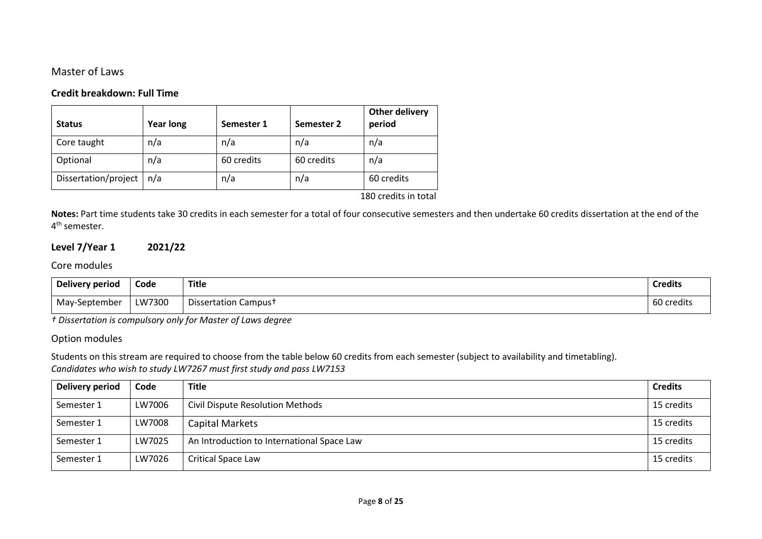# Master of Laws

### **Credit breakdown: Full Time**

| <b>Status</b>        | <b>Year long</b> | Semester 1 | Semester 2 | Other delivery<br>period |
|----------------------|------------------|------------|------------|--------------------------|
| Core taught          | n/a              | n/a        | n/a        | n/a                      |
| Optional             | n/a              | 60 credits | 60 credits | n/a                      |
| Dissertation/project | n/a              | n/a        | n/a        | 60 credits               |

180 credits in total

**Notes:** Part time students take 30 credits in each semester for a total of four consecutive semesters and then undertake 60 credits dissertation at the end of the 4<sup>th</sup> semester.

# **Level 7/Year 1 2021/22**

### Core modules

| Delivery period | Code   | Title                            | <b>Credits</b> |
|-----------------|--------|----------------------------------|----------------|
| May-September   | LW7300 | Dissertation Campus <sup>+</sup> | 60 credits     |

*† Dissertation is compulsory only for Master of Laws degree*

### Option modules

Students on this stream are required to choose from the table below 60 credits from each semester (subject to availability and timetabling). *Candidates who wish to study LW7267 must first study and pass LW7153* 

| Delivery period | Code   | <b>Title</b>                               | <b>Credits</b> |
|-----------------|--------|--------------------------------------------|----------------|
| Semester 1      | LW7006 | Civil Dispute Resolution Methods           | 15 credits     |
| Semester 1      | LW7008 | Capital Markets                            | 15 credits     |
| Semester 1      | LW7025 | An Introduction to International Space Law | 15 credits     |
| Semester 1      | LW7026 | <b>Critical Space Law</b>                  | 15 credits     |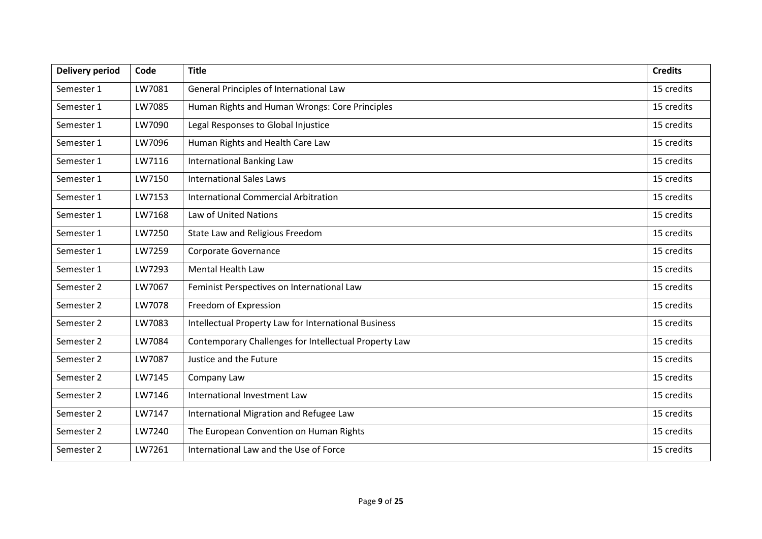| <b>Delivery period</b> | Code   | <b>Title</b>                                          | <b>Credits</b> |
|------------------------|--------|-------------------------------------------------------|----------------|
| Semester 1             | LW7081 | General Principles of International Law               | 15 credits     |
| Semester 1             | LW7085 | Human Rights and Human Wrongs: Core Principles        | 15 credits     |
| Semester 1             | LW7090 | Legal Responses to Global Injustice                   | 15 credits     |
| Semester 1             | LW7096 | Human Rights and Health Care Law                      | 15 credits     |
| Semester 1             | LW7116 | <b>International Banking Law</b>                      | 15 credits     |
| Semester 1             | LW7150 | <b>International Sales Laws</b>                       | 15 credits     |
| Semester 1             | LW7153 | International Commercial Arbitration                  | 15 credits     |
| Semester 1             | LW7168 | Law of United Nations                                 | 15 credits     |
| Semester 1             | LW7250 | State Law and Religious Freedom                       | 15 credits     |
| Semester 1             | LW7259 | Corporate Governance                                  | 15 credits     |
| Semester 1             | LW7293 | <b>Mental Health Law</b>                              | 15 credits     |
| Semester 2             | LW7067 | Feminist Perspectives on International Law            | 15 credits     |
| Semester 2             | LW7078 | Freedom of Expression                                 | 15 credits     |
| Semester 2             | LW7083 | Intellectual Property Law for International Business  | 15 credits     |
| Semester 2             | LW7084 | Contemporary Challenges for Intellectual Property Law | 15 credits     |
| Semester 2             | LW7087 | Justice and the Future                                | 15 credits     |
| Semester 2             | LW7145 | Company Law                                           | 15 credits     |
| Semester 2             | LW7146 | International Investment Law                          | 15 credits     |
| Semester 2             | LW7147 | International Migration and Refugee Law               | 15 credits     |
| Semester 2             | LW7240 | The European Convention on Human Rights               | 15 credits     |
| Semester 2             | LW7261 | International Law and the Use of Force                | 15 credits     |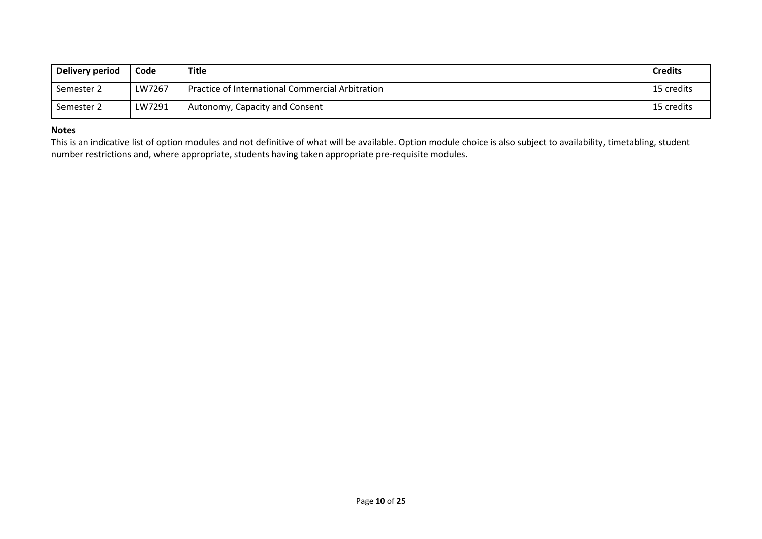| Delivery period | Code   | <b>Title</b>                                     | <b>Credits</b> |
|-----------------|--------|--------------------------------------------------|----------------|
| Semester 2      | LW7267 | Practice of International Commercial Arbitration | 15 credits     |
| Semester 2      | LW7291 | Autonomy, Capacity and Consent                   | 15 credits     |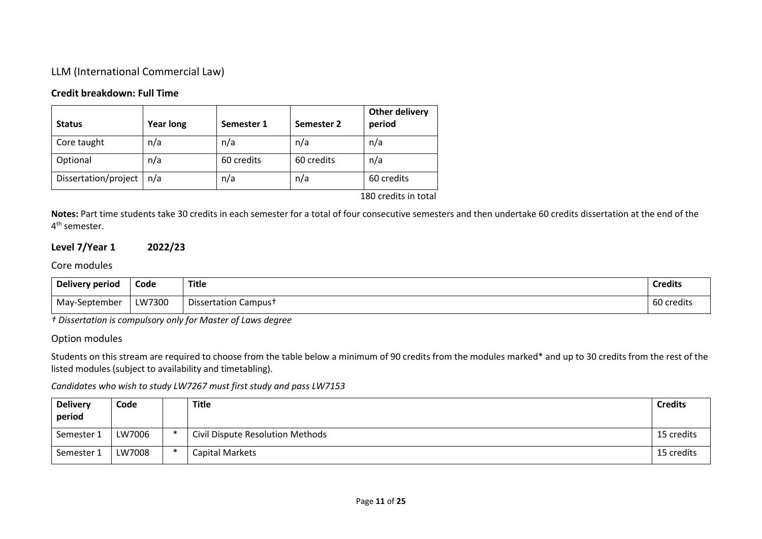# LLM (International Commercial Law)

# **Credit breakdown: Full Time**

| <b>Year long</b> | Semester 1 | Semester 2 | period            |
|------------------|------------|------------|-------------------|
| n/a              | n/a        | n/a        | n/a               |
| n/a              | 60 credits | 60 credits | n/a               |
| n/a              | n/a        | n/a        | 60 credits        |
|                  |            |            | $100 - 111 - 111$ |

180 credits in total

**Notes:** Part time students take 30 credits in each semester for a total of four consecutive semesters and then undertake 60 credits dissertation at the end of the 4<sup>th</sup> semester.

# **Level 7/Year 1 2022/23**

# Core modules

| Delivery period | Code   | <b>Title</b>                     | <b>Credits</b> |
|-----------------|--------|----------------------------------|----------------|
| May-September   | LW7300 | Dissertation Campus <sup>+</sup> | 60 credits     |

*† Dissertation is compulsory only for Master of Laws degree*

### Option modules

Students on this stream are required to choose from the table below a minimum of 90 credits from the modules marked\* and up to 30 credits from the rest of the listed modules (subject to availability and timetabling).

| <b>Delivery</b><br>period | Code   |        | Title                            | <b>Credits</b> |
|---------------------------|--------|--------|----------------------------------|----------------|
| Semester 1                | LW7006 | $\ast$ | Civil Dispute Resolution Methods | 15 credits     |
| Semester 1                | LW7008 | $\ast$ | Capital Markets                  | 15 credits     |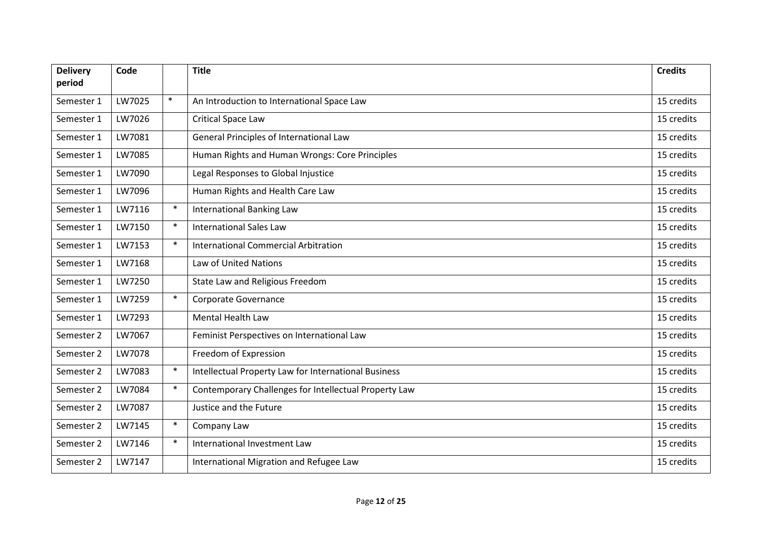| <b>Delivery</b><br>period | Code   |        | <b>Title</b>                                          | <b>Credits</b> |
|---------------------------|--------|--------|-------------------------------------------------------|----------------|
|                           |        |        |                                                       |                |
| Semester 1                | LW7025 | $\ast$ | An Introduction to International Space Law            | 15 credits     |
| Semester 1                | LW7026 |        | Critical Space Law                                    | 15 credits     |
| Semester 1                | LW7081 |        | General Principles of International Law               | 15 credits     |
| Semester 1                | LW7085 |        | Human Rights and Human Wrongs: Core Principles        | 15 credits     |
| Semester 1                | LW7090 |        | Legal Responses to Global Injustice                   | 15 credits     |
| Semester 1                | LW7096 |        | Human Rights and Health Care Law                      | 15 credits     |
| Semester 1                | LW7116 | $\ast$ | <b>International Banking Law</b>                      | 15 credits     |
| Semester 1                | LW7150 | $\ast$ | <b>International Sales Law</b>                        | 15 credits     |
| Semester 1                | LW7153 | $\ast$ | <b>International Commercial Arbitration</b>           | 15 credits     |
| Semester 1                | LW7168 |        | Law of United Nations                                 | 15 credits     |
| Semester 1                | LW7250 |        | State Law and Religious Freedom                       | 15 credits     |
| Semester 1                | LW7259 | $\ast$ | Corporate Governance                                  | 15 credits     |
| Semester 1                | LW7293 |        | <b>Mental Health Law</b>                              | 15 credits     |
| Semester 2                | LW7067 |        | Feminist Perspectives on International Law            | 15 credits     |
| Semester 2                | LW7078 |        | Freedom of Expression                                 | 15 credits     |
| Semester 2                | LW7083 | $\ast$ | Intellectual Property Law for International Business  | 15 credits     |
| Semester 2                | LW7084 | $\ast$ | Contemporary Challenges for Intellectual Property Law | 15 credits     |
| Semester 2                | LW7087 |        | Justice and the Future                                | 15 credits     |
| Semester 2                | LW7145 | $\ast$ | Company Law                                           | 15 credits     |
| Semester 2                | LW7146 | $\ast$ | International Investment Law                          | 15 credits     |
| Semester 2                | LW7147 |        | International Migration and Refugee Law               | 15 credits     |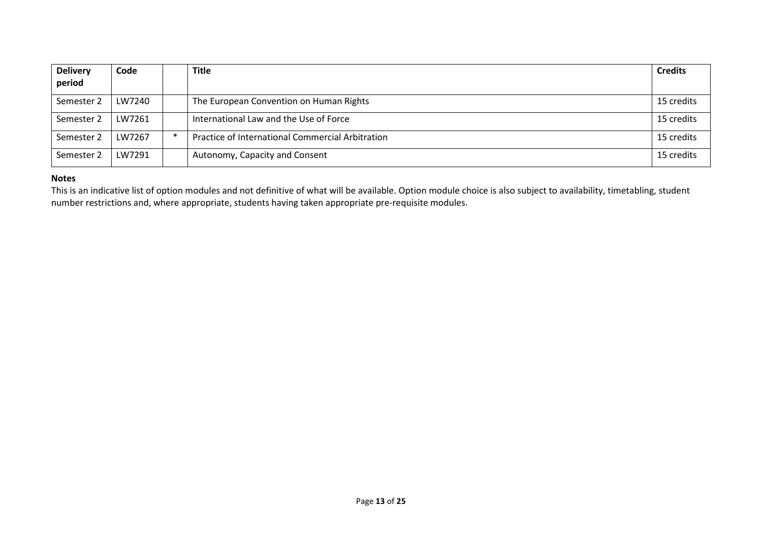| <b>Delivery</b><br>period | Code   |        | <b>Title</b>                                     | <b>Credits</b> |
|---------------------------|--------|--------|--------------------------------------------------|----------------|
|                           |        |        |                                                  |                |
| Semester 2                | LW7240 |        | The European Convention on Human Rights          | 15 credits     |
| Semester 2                | LW7261 |        | International Law and the Use of Force           | 15 credits     |
| Semester 2                | LW7267 | $\ast$ | Practice of International Commercial Arbitration | 15 credits     |
| Semester 2                | LW7291 |        | Autonomy, Capacity and Consent                   | 15 credits     |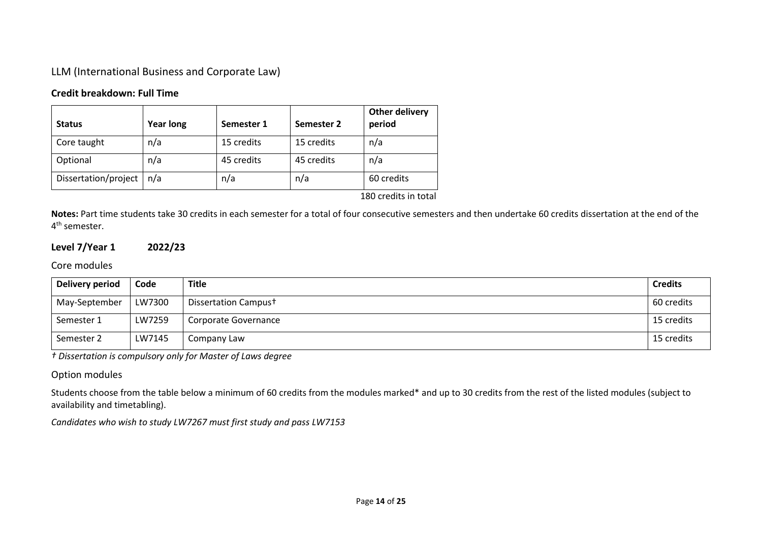LLM (International Business and Corporate Law)

# **Credit breakdown: Full Time**

| <b>Status</b>        | <b>Year long</b> | Semester 1 | Semester 2 | Other delivery<br>period |
|----------------------|------------------|------------|------------|--------------------------|
| Core taught          | n/a              | 15 credits | 15 credits | n/a                      |
| Optional             | n/a              | 45 credits | 45 credits | n/a                      |
| Dissertation/project | n/a              | n/a        | n/a        | 60 credits               |

180 credits in total

**Notes:** Part time students take 30 credits in each semester for a total of four consecutive semesters and then undertake 60 credits dissertation at the end of the 4<sup>th</sup> semester.

# **Level 7/Year 1 2022/23**

# Core modules

| Delivery period | Code   | <b>Title</b>                     | <b>Credits</b> |
|-----------------|--------|----------------------------------|----------------|
| May-September   | LW7300 | Dissertation Campus <sup>+</sup> | 60 credits     |
| Semester 1      | LW7259 | Corporate Governance             | 15 credits     |
| Semester 2      | LW7145 | Company Law                      | 15 credits     |

*† Dissertation is compulsory only for Master of Laws degree*

### Option modules

Students choose from the table below a minimum of 60 credits from the modules marked\* and up to 30 credits from the rest of the listed modules (subject to availability and timetabling).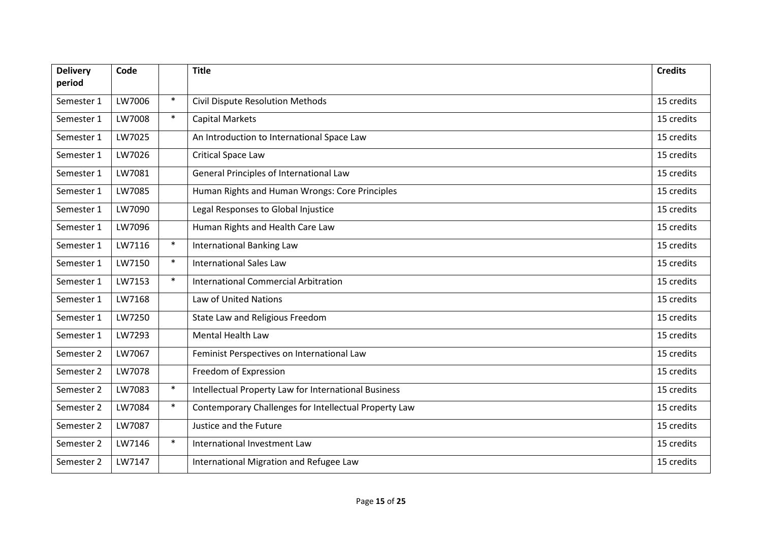| <b>Delivery</b><br>period | Code   |        | <b>Title</b>                                          | <b>Credits</b> |
|---------------------------|--------|--------|-------------------------------------------------------|----------------|
|                           |        |        |                                                       |                |
| Semester 1                | LW7006 | $\ast$ | <b>Civil Dispute Resolution Methods</b>               | 15 credits     |
| Semester 1                | LW7008 | $\ast$ | <b>Capital Markets</b>                                | 15 credits     |
| Semester 1                | LW7025 |        | An Introduction to International Space Law            | 15 credits     |
| Semester 1                | LW7026 |        | <b>Critical Space Law</b>                             | 15 credits     |
| Semester 1                | LW7081 |        | General Principles of International Law               | 15 credits     |
| Semester 1                | LW7085 |        | Human Rights and Human Wrongs: Core Principles        | 15 credits     |
| Semester 1                | LW7090 |        | Legal Responses to Global Injustice                   | 15 credits     |
| Semester 1                | LW7096 |        | Human Rights and Health Care Law                      | 15 credits     |
| Semester 1                | LW7116 | $\ast$ | <b>International Banking Law</b>                      | 15 credits     |
| Semester 1                | LW7150 | $\ast$ | <b>International Sales Law</b>                        | 15 credits     |
| Semester 1                | LW7153 | $\ast$ | International Commercial Arbitration                  | 15 credits     |
| Semester 1                | LW7168 |        | Law of United Nations                                 | 15 credits     |
| Semester 1                | LW7250 |        | State Law and Religious Freedom                       | 15 credits     |
| Semester 1                | LW7293 |        | Mental Health Law                                     | 15 credits     |
| Semester 2                | LW7067 |        | Feminist Perspectives on International Law            | 15 credits     |
| Semester 2                | LW7078 |        | Freedom of Expression                                 | 15 credits     |
| Semester 2                | LW7083 | $\ast$ | Intellectual Property Law for International Business  | 15 credits     |
| Semester 2                | LW7084 | $\ast$ | Contemporary Challenges for Intellectual Property Law | 15 credits     |
| Semester 2                | LW7087 |        | Justice and the Future                                | 15 credits     |
| Semester 2                | LW7146 | $\ast$ | International Investment Law                          | 15 credits     |
| Semester 2                | LW7147 |        | International Migration and Refugee Law               | 15 credits     |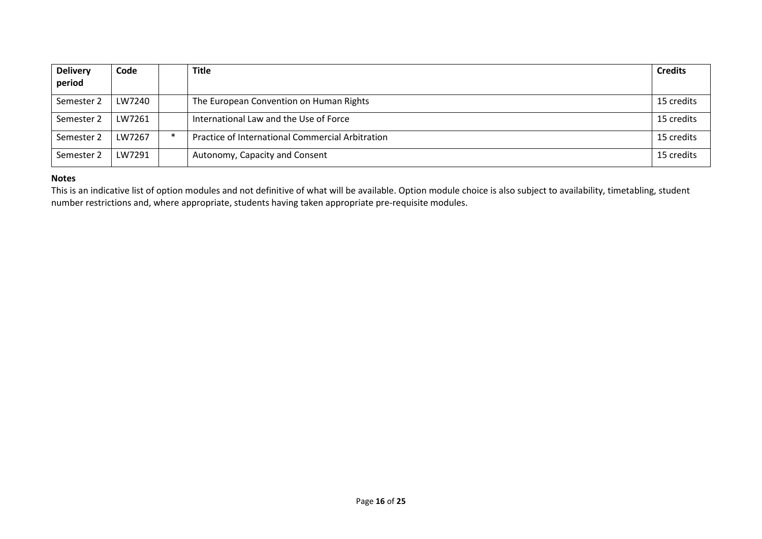| <b>Delivery</b><br>period | Code   |   | <b>Title</b>                                     | <b>Credits</b> |
|---------------------------|--------|---|--------------------------------------------------|----------------|
| Semester 2                | LW7240 |   | The European Convention on Human Rights          | 15 credits     |
| Semester 2                | LW7261 |   | International Law and the Use of Force           | 15 credits     |
| Semester 2                | LW7267 | * | Practice of International Commercial Arbitration | 15 credits     |
| Semester 2                | LW7291 |   | Autonomy, Capacity and Consent                   | 15 credits     |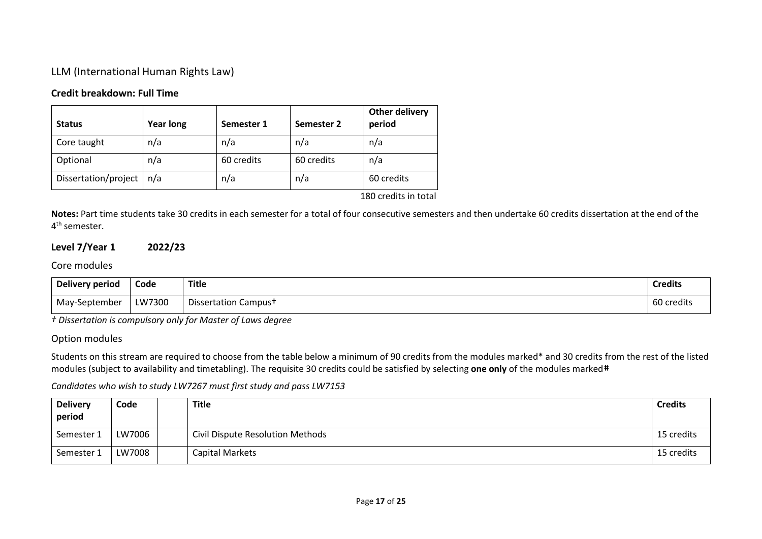# LLM (International Human Rights Law)

# **Credit breakdown: Full Time**

| <b>Year long</b> | Semester 1 | Semester 2 | period            |
|------------------|------------|------------|-------------------|
| n/a              | n/a        | n/a        | n/a               |
| n/a              | 60 credits | 60 credits | n/a               |
| n/a              | n/a        | n/a        | 60 credits        |
|                  |            |            | $100 - 111 - 111$ |

180 credits in total

**Notes:** Part time students take 30 credits in each semester for a total of four consecutive semesters and then undertake 60 credits dissertation at the end of the 4<sup>th</sup> semester.

# **Level 7/Year 1 2022/23**

### Core modules

| Delivery period | Code   | Title                            | <b>Credits</b> |
|-----------------|--------|----------------------------------|----------------|
| May-September   | LW7300 | Dissertation Campus <sup>+</sup> | 60 credits     |

*† Dissertation is compulsory only for Master of Laws degree*

### Option modules

Students on this stream are required to choose from the table below a minimum of 90 credits from the modules marked\* and 30 credits from the rest of the listed modules (subject to availability and timetabling). The requisite 30 credits could be satisfied by selecting **one only** of the modules marked#

| <b>Delivery</b><br>period | Code   | <b>Title</b>                     | <b>Credits</b> |
|---------------------------|--------|----------------------------------|----------------|
| Semester 1                | LW7006 | Civil Dispute Resolution Methods | 15 credits     |
| Semester 1                | LW7008 | Capital Markets                  | 15 credits     |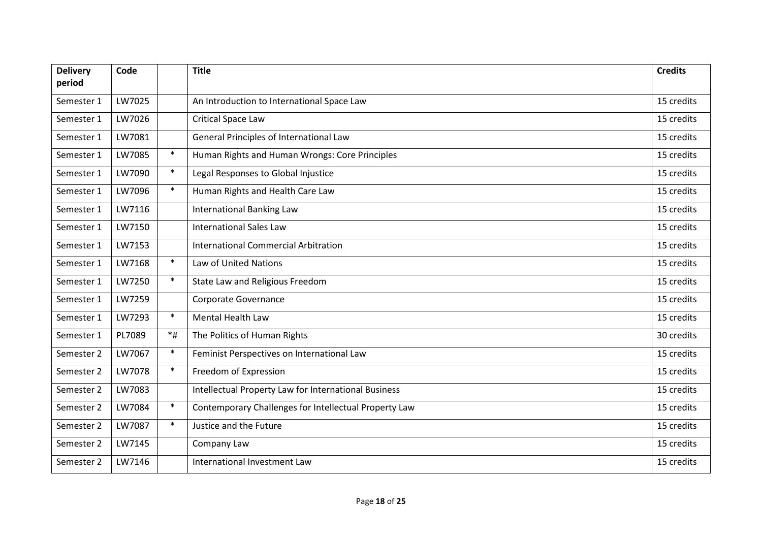| <b>Delivery</b><br>period | Code   |        | <b>Title</b>                                          | <b>Credits</b> |
|---------------------------|--------|--------|-------------------------------------------------------|----------------|
|                           |        |        |                                                       |                |
| Semester 1                | LW7025 |        | An Introduction to International Space Law            | 15 credits     |
| Semester 1                | LW7026 |        | <b>Critical Space Law</b>                             | 15 credits     |
| Semester 1                | LW7081 |        | General Principles of International Law               | 15 credits     |
| Semester 1                | LW7085 | $\ast$ | Human Rights and Human Wrongs: Core Principles        | 15 credits     |
| Semester 1                | LW7090 | $\ast$ | Legal Responses to Global Injustice                   | 15 credits     |
| Semester 1                | LW7096 | $\ast$ | Human Rights and Health Care Law                      | 15 credits     |
| Semester 1                | LW7116 |        | <b>International Banking Law</b>                      | 15 credits     |
| Semester 1                | LW7150 |        | <b>International Sales Law</b>                        | 15 credits     |
| Semester 1                | LW7153 |        | <b>International Commercial Arbitration</b>           | 15 credits     |
| Semester 1                | LW7168 | $\ast$ | <b>Law of United Nations</b>                          | 15 credits     |
| Semester 1                | LW7250 | $\ast$ | State Law and Religious Freedom                       | 15 credits     |
| Semester 1                | LW7259 |        | Corporate Governance                                  | 15 credits     |
| Semester 1                | LW7293 | $\ast$ | <b>Mental Health Law</b>                              | 15 credits     |
| Semester 1                | PL7089 | $*$ #  | The Politics of Human Rights                          | 30 credits     |
| Semester 2                | LW7067 | $\ast$ | Feminist Perspectives on International Law            | 15 credits     |
| Semester 2                | LW7078 | $\ast$ | Freedom of Expression                                 | 15 credits     |
| Semester 2                | LW7083 |        | Intellectual Property Law for International Business  | 15 credits     |
| Semester 2                | LW7084 | $\ast$ | Contemporary Challenges for Intellectual Property Law | 15 credits     |
| Semester 2                | LW7087 | $\ast$ | Justice and the Future                                | 15 credits     |
| Semester 2                | LW7145 |        | Company Law                                           | 15 credits     |
| Semester 2                | LW7146 |        | International Investment Law                          | 15 credits     |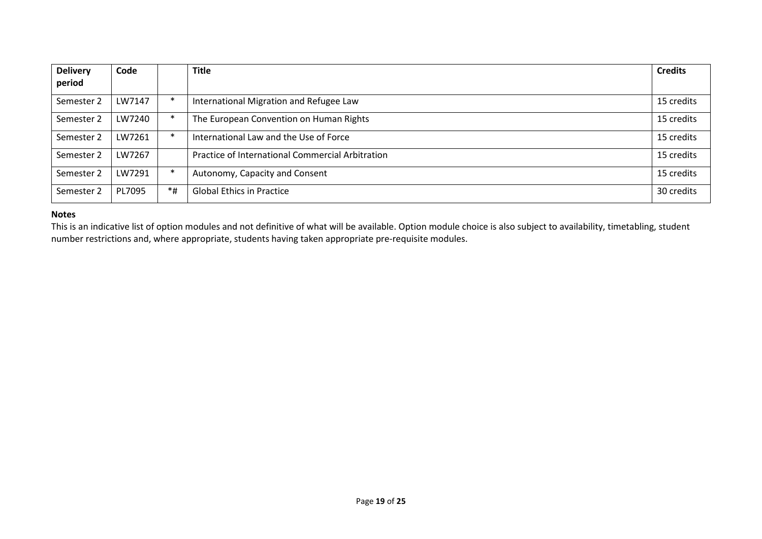| <b>Delivery</b><br>period | Code   |        | <b>Title</b>                                     | <b>Credits</b> |
|---------------------------|--------|--------|--------------------------------------------------|----------------|
| Semester 2                | LW7147 |        | International Migration and Refugee Law          | 15 credits     |
| Semester 2                | LW7240 |        | The European Convention on Human Rights          | 15 credits     |
| Semester 2                | LW7261 | $\ast$ | International Law and the Use of Force           | 15 credits     |
| Semester 2                | LW7267 |        | Practice of International Commercial Arbitration | 15 credits     |
| Semester 2                | LW7291 |        | Autonomy, Capacity and Consent                   | 15 credits     |
| Semester 2                | PL7095 | *#     | <b>Global Ethics in Practice</b>                 | 30 credits     |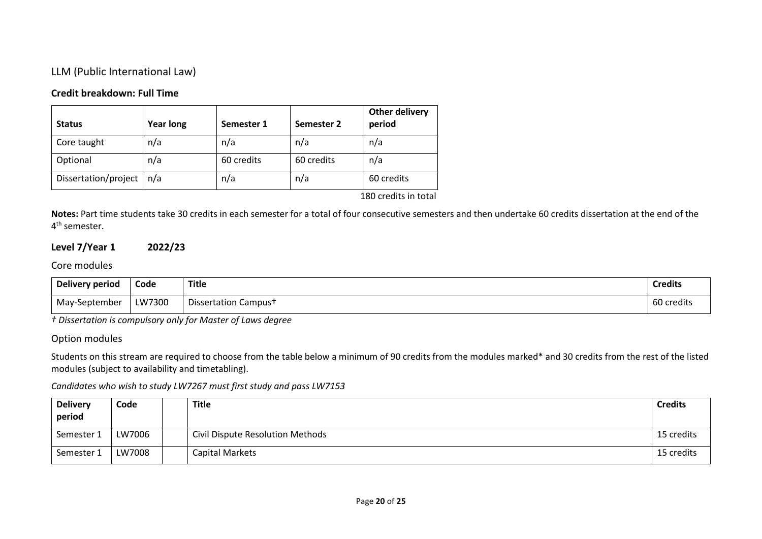# LLM (Public International Law)

# **Credit breakdown: Full Time**

| <b>Status</b>        | <b>Year long</b> | Semester 1 | Semester 2 | <b>Other delivery</b><br>period |
|----------------------|------------------|------------|------------|---------------------------------|
| Core taught          | n/a              | n/a        | n/a        | n/a                             |
| Optional             | n/a              | 60 credits | 60 credits | n/a                             |
| Dissertation/project | n/a              | n/a        | n/a        | 60 credits                      |

180 credits in total

**Notes:** Part time students take 30 credits in each semester for a total of four consecutive semesters and then undertake 60 credits dissertation at the end of the 4<sup>th</sup> semester.

# **Level 7/Year 1 2022/23**

# Core modules

| <b>Delivery period</b> | Code   | <b>Title</b>                     | <b>Credits</b> |
|------------------------|--------|----------------------------------|----------------|
| May-September          | LW7300 | Dissertation Campus <sup>+</sup> | 60 credits     |

*† Dissertation is compulsory only for Master of Laws degree*

### Option modules

Students on this stream are required to choose from the table below a minimum of 90 credits from the modules marked\* and 30 credits from the rest of the listed modules (subject to availability and timetabling).

| <b>Delivery</b><br>period | Code   | Title                            | <b>Credits</b> |
|---------------------------|--------|----------------------------------|----------------|
| Semester 1                | LW7006 | Civil Dispute Resolution Methods | 15 credits     |
| Semester 1                | LW7008 | Capital Markets                  | 15 credits     |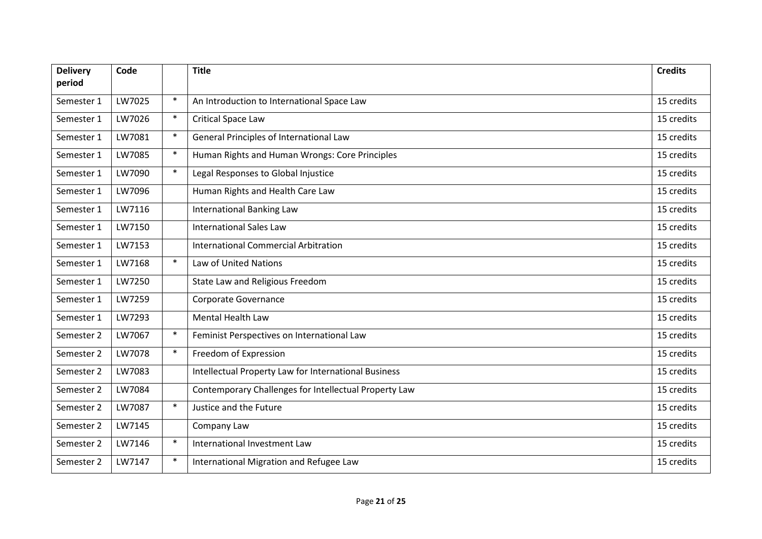| <b>Delivery</b><br>period | Code   |        | <b>Title</b>                                          | <b>Credits</b> |
|---------------------------|--------|--------|-------------------------------------------------------|----------------|
|                           |        |        |                                                       |                |
| Semester 1                | LW7025 | $\ast$ | An Introduction to International Space Law            | 15 credits     |
| Semester 1                | LW7026 | $\ast$ | <b>Critical Space Law</b>                             | 15 credits     |
| Semester 1                | LW7081 | $\ast$ | General Principles of International Law               | 15 credits     |
| Semester 1                | LW7085 | $\ast$ | Human Rights and Human Wrongs: Core Principles        | 15 credits     |
| Semester 1                | LW7090 | $\ast$ | Legal Responses to Global Injustice                   | 15 credits     |
| Semester 1                | LW7096 |        | Human Rights and Health Care Law                      | 15 credits     |
| Semester 1                | LW7116 |        | <b>International Banking Law</b>                      | 15 credits     |
| Semester 1                | LW7150 |        | <b>International Sales Law</b>                        | 15 credits     |
| Semester 1                | LW7153 |        | <b>International Commercial Arbitration</b>           | 15 credits     |
| Semester 1                | LW7168 | $\ast$ | <b>Law of United Nations</b>                          | 15 credits     |
| Semester 1                | LW7250 |        | State Law and Religious Freedom                       | 15 credits     |
| Semester 1                | LW7259 |        | Corporate Governance                                  | 15 credits     |
| Semester 1                | LW7293 |        | Mental Health Law                                     | 15 credits     |
| Semester 2                | LW7067 | $\ast$ | Feminist Perspectives on International Law            | 15 credits     |
| Semester 2                | LW7078 | $\ast$ | Freedom of Expression                                 | 15 credits     |
| Semester 2                | LW7083 |        | Intellectual Property Law for International Business  | 15 credits     |
| Semester 2                | LW7084 |        | Contemporary Challenges for Intellectual Property Law | 15 credits     |
| Semester 2                | LW7087 | $\ast$ | Justice and the Future                                | 15 credits     |
| Semester 2                | LW7145 |        | Company Law                                           | 15 credits     |
| Semester 2                | LW7146 | $\ast$ | International Investment Law                          | 15 credits     |
| Semester 2                | LW7147 | $\ast$ | International Migration and Refugee Law               | 15 credits     |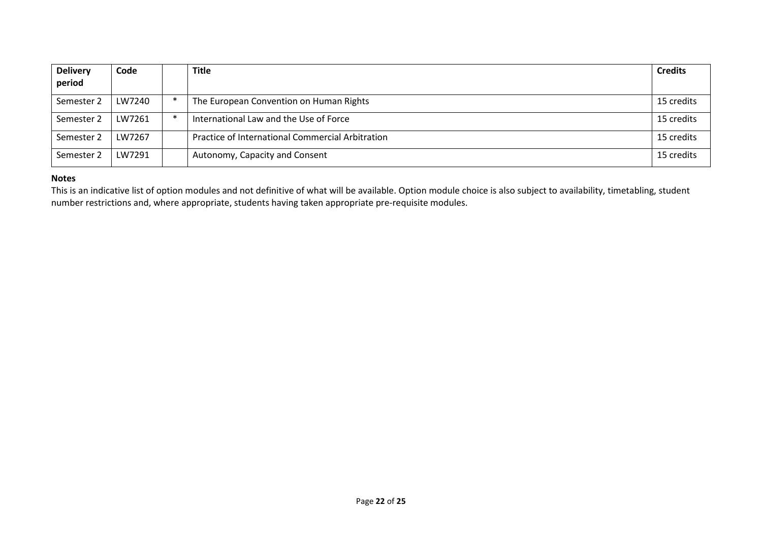| <b>Delivery</b><br>period | Code   |        | <b>Title</b>                                     | <b>Credits</b> |
|---------------------------|--------|--------|--------------------------------------------------|----------------|
| Semester 2                | LW7240 | $\ast$ | The European Convention on Human Rights          | 15 credits     |
| Semester 2                | LW7261 | $\ast$ | International Law and the Use of Force           | 15 credits     |
| Semester 2                | LW7267 |        | Practice of International Commercial Arbitration | 15 credits     |
| Semester 2                | LW7291 |        | Autonomy, Capacity and Consent                   | 15 credits     |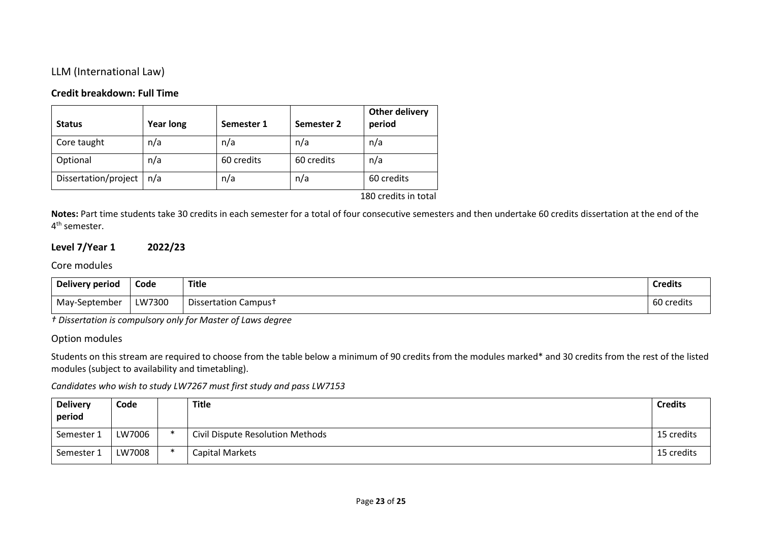# LLM (International Law)

### **Credit breakdown: Full Time**

| <b>Status</b>        | <b>Year long</b> | Semester 1 | Semester 2 | <b>Other delivery</b><br>period |
|----------------------|------------------|------------|------------|---------------------------------|
| Core taught          | n/a              | n/a        | n/a        | n/a                             |
| Optional             | n/a              | 60 credits | 60 credits | n/a                             |
| Dissertation/project | n/a              | n/a        | n/a        | 60 credits                      |

180 credits in total

**Notes:** Part time students take 30 credits in each semester for a total of four consecutive semesters and then undertake 60 credits dissertation at the end of the 4<sup>th</sup> semester.

# **Level 7/Year 1 2022/23**

# Core modules

| <b>Delivery period</b> | Code   | <b>Title</b>                     | <b>Credits</b> |
|------------------------|--------|----------------------------------|----------------|
| May-September          | LW7300 | Dissertation Campus <sup>+</sup> | 60 credits     |

*† Dissertation is compulsory only for Master of Laws degree*

#### Option modules

Students on this stream are required to choose from the table below a minimum of 90 credits from the modules marked\* and 30 credits from the rest of the listed modules (subject to availability and timetabling).

| <b>Delivery</b><br>period | Code   | Title                            | <b>Credits</b> |
|---------------------------|--------|----------------------------------|----------------|
| Semester 1                | LW7006 | Civil Dispute Resolution Methods | 15 credits     |
| Semester 1                | LW7008 | Capital Markets                  | 15 credits     |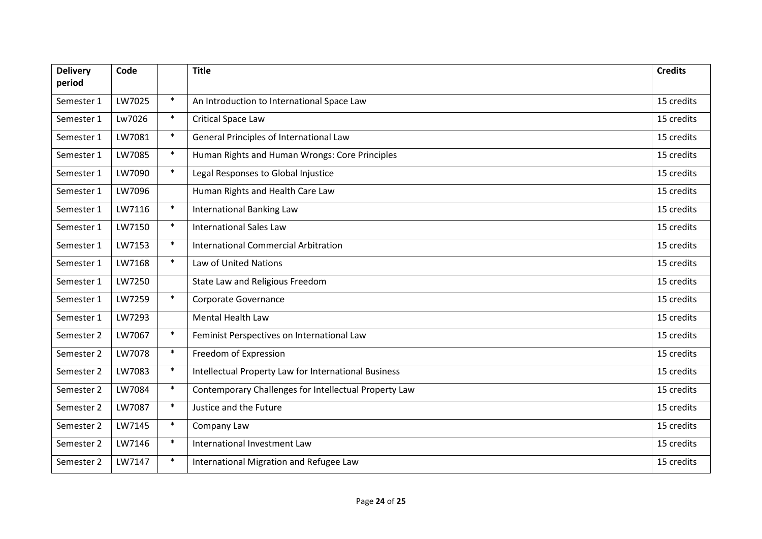| <b>Delivery</b><br>period | Code   |        | <b>Title</b>                                          | <b>Credits</b> |
|---------------------------|--------|--------|-------------------------------------------------------|----------------|
|                           |        |        |                                                       |                |
| Semester 1                | LW7025 | $\ast$ | An Introduction to International Space Law            | 15 credits     |
| Semester 1                | Lw7026 | $\ast$ | <b>Critical Space Law</b>                             | 15 credits     |
| Semester 1                | LW7081 | $\ast$ | General Principles of International Law               | 15 credits     |
| Semester 1                | LW7085 | $\ast$ | Human Rights and Human Wrongs: Core Principles        | 15 credits     |
| Semester 1                | LW7090 | $\ast$ | Legal Responses to Global Injustice                   | 15 credits     |
| Semester 1                | LW7096 |        | Human Rights and Health Care Law                      | 15 credits     |
| Semester 1                | LW7116 | $\ast$ | <b>International Banking Law</b>                      | 15 credits     |
| Semester 1                | LW7150 | $\ast$ | <b>International Sales Law</b>                        | 15 credits     |
| Semester 1                | LW7153 | $\ast$ | <b>International Commercial Arbitration</b>           | 15 credits     |
| Semester 1                | LW7168 | $\ast$ | <b>Law of United Nations</b>                          | 15 credits     |
| Semester 1                | LW7250 |        | State Law and Religious Freedom                       | 15 credits     |
| Semester 1                | LW7259 | $\ast$ | Corporate Governance                                  | 15 credits     |
| Semester 1                | LW7293 |        | <b>Mental Health Law</b>                              | 15 credits     |
| Semester 2                | LW7067 | $\ast$ | Feminist Perspectives on International Law            | 15 credits     |
| Semester 2                | LW7078 | $\ast$ | Freedom of Expression                                 | 15 credits     |
| Semester 2                | LW7083 | $\ast$ | Intellectual Property Law for International Business  | 15 credits     |
| Semester 2                | LW7084 | $\ast$ | Contemporary Challenges for Intellectual Property Law | 15 credits     |
| Semester 2                | LW7087 | $\ast$ | Justice and the Future                                | 15 credits     |
| Semester 2                | LW7145 | $\ast$ | Company Law                                           | 15 credits     |
| Semester 2                | LW7146 | $\ast$ | International Investment Law                          | 15 credits     |
| Semester 2                | LW7147 | $\ast$ | International Migration and Refugee Law               | 15 credits     |